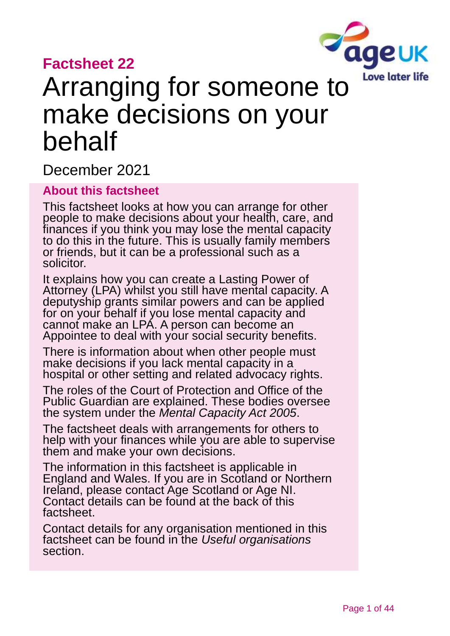### **Factsheet 22**



# Arranging for someone to make decisions on your behalf

December 2021

#### **About this factsheet**

This factsheet looks at how you can arrange for other people to make decisions about your health, care, and finances if you think you may lose the mental capacity to do this in the future. This is usually family members or friends, but it can be a professional such as a solicitor.

It explains how you can create a Lasting Power of Attorney (LPA) whilst you still have mental capacity. A deputyship grants similar powers and can be applied for on your behalf if you lose mental capacity and cannot make an LPA. A person can become an Appointee to deal with your social security benefits.

There is information about when other people must make decisions if you lack mental capacity in a hospital or other setting and related advocacy rights.

The roles of the Court of Protection and Office of the Public Guardian are explained. These bodies oversee the system under the *Mental Capacity Act 2005*.

The factsheet deals with arrangements for others to help with your finances while you are able to supervise them and make your own decisions.

The information in this factsheet is applicable in England and Wales. If you are in Scotland or Northern Ireland, please contact [Age Scotland or Age NI.](#page-42-0) Contact details can be found at the [back of this](#page-42-0)  [factsheet.](#page-42-0)

Contact details for any organisation mentioned in this factsheet can be found in the *[Useful organisations](#page-39-0)* section.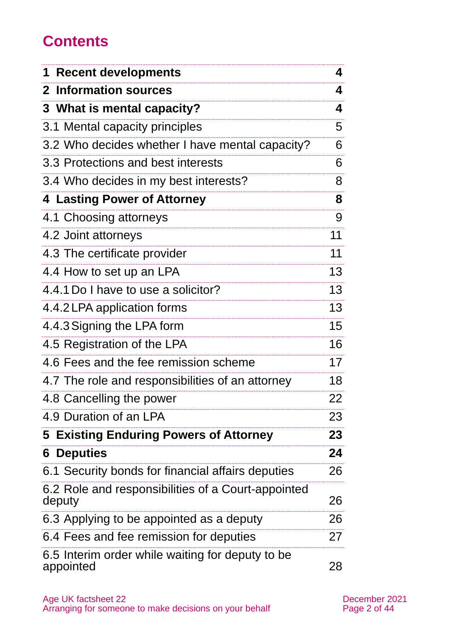# **Contents**

| <b>1 Recent developments</b>                                  | 4  |
|---------------------------------------------------------------|----|
| 2 Information sources                                         | 4  |
| 3 What is mental capacity?                                    | 4  |
| 3.1 Mental capacity principles                                | 5  |
| 3.2 Who decides whether I have mental capacity?               | 6  |
| 3.3 Protections and best interests                            | 6  |
| 3.4 Who decides in my best interests?                         | 8  |
| <b>4 Lasting Power of Attorney</b>                            | 8  |
| 4.1 Choosing attorneys                                        | 9  |
| 4.2 Joint attorneys                                           | 11 |
| 4.3 The certificate provider                                  | 11 |
| 4.4 How to set up an LPA                                      | 13 |
| 4.4.1 Do I have to use a solicitor?                           | 13 |
| 4.4.2 LPA application forms                                   | 13 |
| 4.4.3 Signing the LPA form                                    | 15 |
| 4.5 Registration of the LPA                                   | 16 |
| 4.6 Fees and the fee remission scheme                         | 17 |
| 4.7 The role and responsibilities of an attorney              | 18 |
| 4.8 Cancelling the power                                      | 22 |
| 4.9 Duration of an LPA                                        | 23 |
| <b>5 Existing Enduring Powers of Attorney</b>                 | 23 |
| <b>6 Deputies</b>                                             | 24 |
| 6.1 Security bonds for financial affairs deputies             | 26 |
| 6.2 Role and responsibilities of a Court-appointed<br>deputy  | 26 |
| 6.3 Applying to be appointed as a deputy                      | 26 |
| 6.4 Fees and fee remission for deputies                       | 27 |
| 6.5 Interim order while waiting for deputy to be<br>appointed | 28 |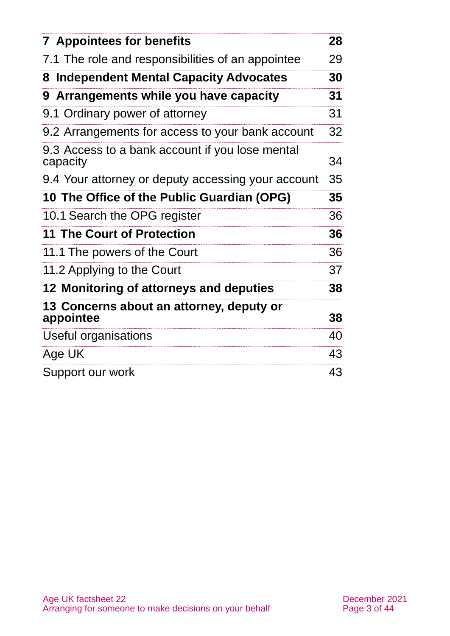| <b>7 Appointees for benefits</b>                            | 28 |
|-------------------------------------------------------------|----|
| 7.1 The role and responsibilities of an appointee           | 29 |
| <b>Independent Mental Capacity Advocates</b><br>8           | 30 |
| Arrangements while you have capacity<br>9                   | 31 |
| 9.1 Ordinary power of attorney                              | 31 |
| 9.2 Arrangements for access to your bank account            | 32 |
| 9.3 Access to a bank account if you lose mental<br>capacity | 34 |
| 9.4 Your attorney or deputy accessing your account          | 35 |
| 10 The Office of the Public Guardian (OPG)                  | 35 |
| 10.1 Search the OPG register                                | 36 |
| <b>11 The Court of Protection</b>                           | 36 |
| 11.1 The powers of the Court                                | 36 |
| 11.2 Applying to the Court                                  | 37 |
| 12 Monitoring of attorneys and deputies                     | 38 |
| 13 Concerns about an attorney, deputy or<br>appointee       | 38 |
| Useful organisations                                        | 40 |
| Age UK                                                      | 43 |
| Support our work                                            | 43 |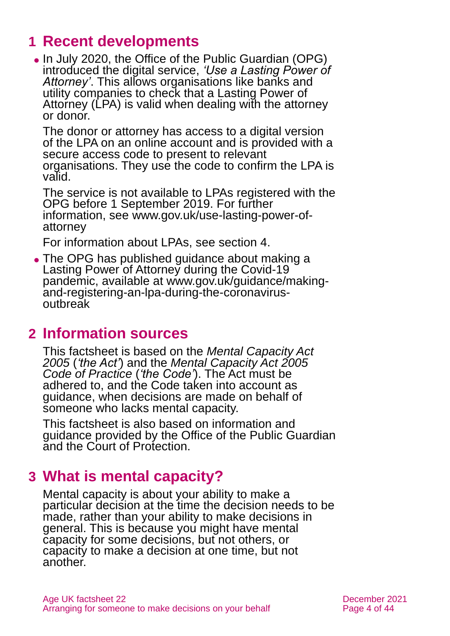# <span id="page-3-0"></span>**1 Recent developments**

⚫ In July 2020, the Office of the Public Guardian (OPG) introduced the digital service, *'Use a Lasting Power of Attorney'*. This allows organisations like banks and utility companies to check that a Lasting Power of Attorney (LPA) is valid when dealing with the attorney or donor.

The donor or attorney has access to a digital version of the LPA on an online account and is provided with a secure access code to present to relevant organisations. They use the code to confirm the LPA is valid.

The service is not available to LPAs registered with the OPG before 1 September 2019. For further information, see [www.gov.uk/use-lasting-power-of](http://www.gov.uk/use-lasting-power-of-attorney)[attorney](http://www.gov.uk/use-lasting-power-of-attorney)

For information about LPAs, see [section 4.](#page-7-0)

⚫ The OPG has published guidance about making a Lasting Power of Attorney during the Covid-19 pandemic, available at [www.gov.uk/guidance/making](http://www.gov.uk/guidance/making-and-registering-an-lpa-during-the-coronavirus-outbreak)[and-registering-an-lpa-during-the-coronavirus](http://www.gov.uk/guidance/making-and-registering-an-lpa-during-the-coronavirus-outbreak)[outbreak](http://www.gov.uk/guidance/making-and-registering-an-lpa-during-the-coronavirus-outbreak)

### <span id="page-3-1"></span>**2 Information sources**

This factsheet is based on the *[Mental Capacity Act](http://www.legislation.gov.uk/ukpga/2005/9/contents)  [2005](http://www.legislation.gov.uk/ukpga/2005/9/contents)* (*'the Act'*) and the *[Mental Capacity](http://www.gov.uk/government/publications/mental-capacity-act-code-of-practice) Act 2005 [Code of Practice](http://www.gov.uk/government/publications/mental-capacity-act-code-of-practice)* (*'the Code'*). The Act must be adhered to, and the Code taken into account as guidance, when decisions are made on behalf of someone who lacks mental capacity.

This factsheet is also based on information and guidance provided by the Office of the Public Guardian and the Court of Protection.

# <span id="page-3-2"></span>**3 What is mental capacity?**

Mental capacity is about your ability to make a particular decision at the time the decision needs to be made, rather than your ability to make decisions in general. This is because you might have mental capacity for some decisions, but not others, or capacity to make a decision at one time, but not another.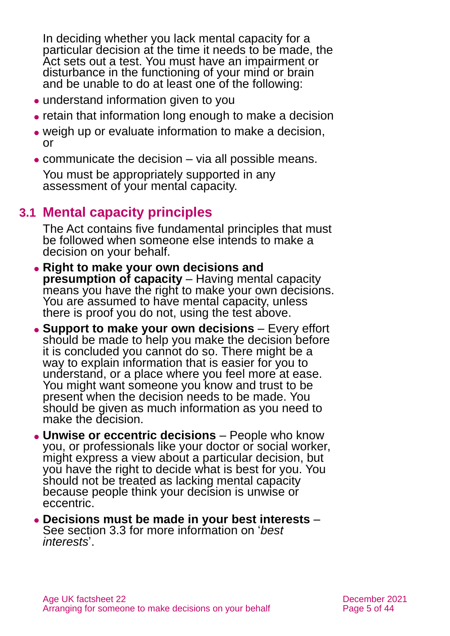In deciding whether you lack mental capacity for a particular decision at the time it needs to be made, the Act sets out a test. You must have an impairment or disturbance in the functioning of your mind or brain and be unable to do at least one of the following:

- understand information given to you
- ⚫ retain that information long enough to make a decision
- ⚫ weigh up or evaluate information to make a decision, or
- ⚫ communicate the decision via all possible means.

You must be appropriately supported in any assessment of your mental capacity.

### **3.1 Mental capacity principles**

The Act contains five fundamental principles that must be followed when someone else intends to make a decision on your behalf.

- ⚫ **Right to make your own decisions and presumption of capacity** – Having mental capacity means you have the right to make your own decisions. You are assumed to have mental capacity, unless there is proof you do not, using the test above.
- ⚫ **Support to make your own decisions**  Every effort should be made to help you make the decision before it is concluded you cannot do so. There might be a way to explain information that is easier for you to understand, or a place where you feel more at ease. You might want someone you know and trust to be present when the decision needs to be made. You should be given as much information as you need to make the decision.
- ⚫ **Unwise or eccentric decisions**  People who know you, or professionals like your doctor or social worker, might express a view about a particular decision, but you have the right to decide what is best for you. You should not be treated as lacking mental capacity because people think your decision is unwise or eccentric.
- ⚫ **Decisions must be made in your best interests** See [section 3.3](#page-5-0) for more information on '*best interests*'.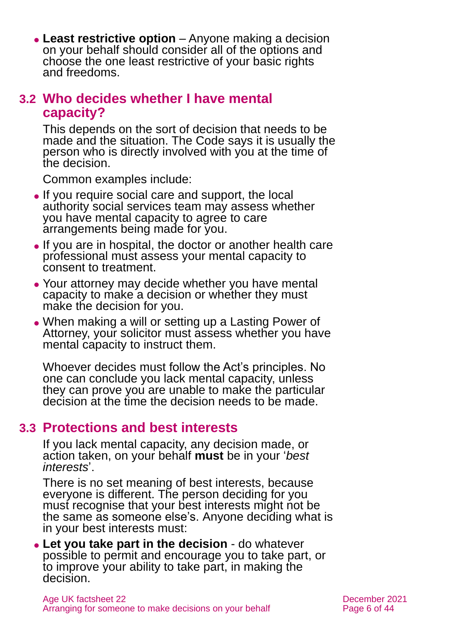⚫ **Least restrictive option** – Anyone making a decision on your behalf should consider all of the options and choose the one least restrictive of your basic rights and freedoms.

#### <span id="page-5-1"></span>**3.2 Who decides whether I have mental capacity?**

This depends on the sort of decision that needs to be made and the situation. The Code says it is usually the person who is directly involved with you at the time of the decision.

Common examples include:

- ⚫ If you require social care and support, the local authority social services team may assess whether you have mental capacity to agree to care arrangements being made for you.
- ⚫ If you are in hospital, the doctor or another health care professional must assess your mental capacity to consent to treatment.
- Your attorney may decide whether you have mental capacity to make a decision or whether they must make the decision for you.
- ⚫ When making a will or setting up a Lasting Power of Attorney, your solicitor must assess whether you have mental capacity to instruct them.

Whoever decides must follow the Act's principles. No one can conclude you lack mental capacity, unless they can prove you are unable to make the particular decision at the time the decision needs to be made.

### <span id="page-5-0"></span>**3.3 Protections and best interests**

If you lack mental capacity, any decision made, or action taken, on your behalf **must** be in your '*best interests*'.

There is no set meaning of best interests, because everyone is different. The person deciding for you must recognise that your best interests might not be the same as someone else's. Anyone deciding what is in your best interests must:

⚫ **Let you take part in the decision** - do whatever possible to permit and encourage you to take part, or to improve your ability to take part, in making the decision.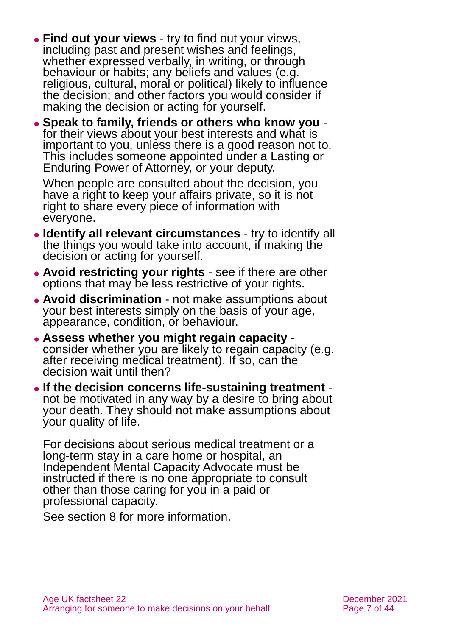- ⚫ **Find out your views** try to find out your views, including past and present wishes and feelings, whether expressed verbally, in writing, or through behaviour or habits; any beliefs and values (e.g. religious, cultural, moral or political) likely to influence the decision; and other factors you would consider if making the decision or acting for yourself.
- ⚫ **Speak to family, friends or others who know you** for their views about your best interests and what is important to you, unless there is a good reason not to. This includes someone appointed under a Lasting or Enduring Power of Attorney, or your deputy.

When people are consulted about the decision, you have a right to keep your affairs private, so it is not right to share every piece of information with everyone.

- ⚫ **Identify all relevant circumstances** try to identify all the things you would take into account, if making the decision or acting for yourself.
- ⚫ **Avoid restricting your rights** see if there are other options that may be less restrictive of your rights.
- ⚫ **Avoid discrimination** not make assumptions about your best interests simply on the basis of your age, appearance, condition, or behaviour.
- ⚫ **Assess whether you might regain capacity** consider whether you are likely to regain capacity (e.g. after receiving medical treatment). If so, can the decision wait until then?
- ⚫ **If the decision concerns life-sustaining treatment** not be motivated in any way by a desire to bring about your death. They should not make assumptions about your quality of life.

For decisions about serious medical treatment or a long-term stay in a care home or hospital, an Independent Mental Capacity Advocate must be instructed if there is no one appropriate to consult other than those caring for you in a paid or professional capacity.

See [section 8](#page-29-0) for more information.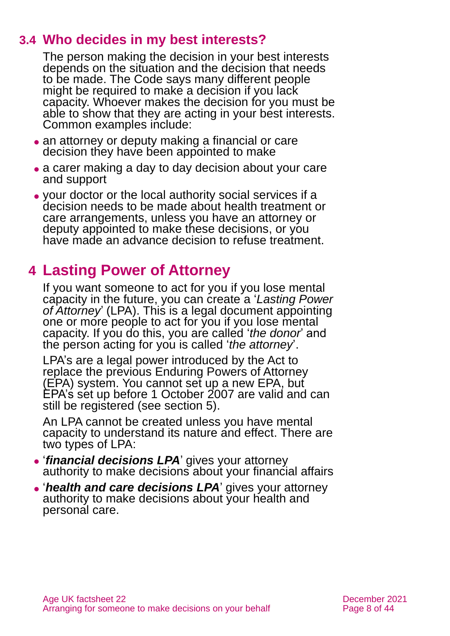### **3.4 Who decides in my best interests?**

The person making the decision in your best interests depends on the situation and the decision that needs to be made. The Code says many different people might be required to make a decision if you lack capacity. Whoever makes the decision for you must be able to show that they are acting in your best interests. Common examples include:

- an attorney or deputy making a financial or care decision they have been appointed to make
- ⚫ a carer making a day to day decision about your care and support
- ⚫ your doctor or the local authority social services if a decision needs to be made about health treatment or care arrangements, unless you have an attorney or deputy appointed to make these decisions, or you have made an advance decision to refuse treatment.

# <span id="page-7-0"></span>**4 Lasting Power of Attorney**

If you want someone to act for you if you lose mental capacity in the future, you can create a '*Lasting Power of Attorney*' (LPA). This is a legal document appointing one or more people to act for you if you lose mental capacity. If you do this, you are called '*the donor*' and the person acting for you is called '*the attorney*'.

LPA's are a legal power introduced by the Act to replace the previous Enduring Powers of Attorney (EPA) system. You cannot set up a new EPA, but EPA's set up before 1 October 2007 are valid and can still be registered [\(see section 5\).](#page-22-0)

An LPA cannot be created unless you have mental capacity to understand its nature and effect. There are two types of LPA:

- ⚫ '*financial decisions LPA*' gives your attorney authority to make decisions about your financial affairs
- ⚫ '*health and care decisions LPA*' gives your attorney authority to make decisions about your health and personal care.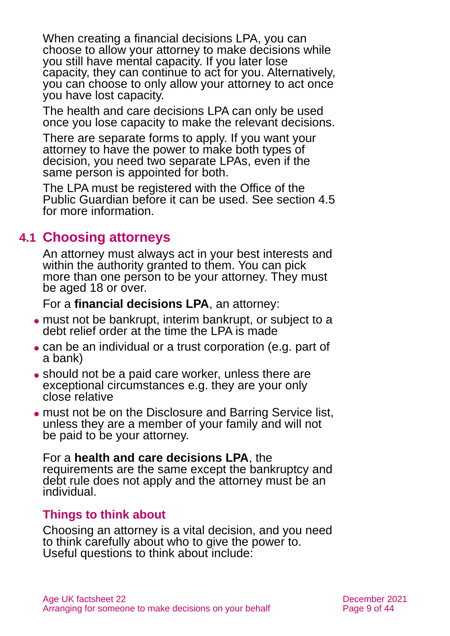When creating a financial decisions LPA, you can choose to allow your attorney to make decisions while you still have mental capacity. If you later lose capacity, they can continue to act for you. Alternatively, you can choose to only allow your attorney to act once you have lost capacity.

The health and care decisions LPA can only be used once you lose capacity to make the relevant decisions.

There are separate forms to apply. If you want your attorney to have the power to make both types of decision, you need two separate LPAs, even if the same person is appointed for both.

The LPA must be registered with the Office of the Public Guardian before it can be used. [See section 4.5](#page-15-0) for more information.

### **4.1 Choosing attorneys**

An attorney must always act in your best interests and within the authority granted to them. You can pick more than one person to be your attorney. They must be aged 18 or over.

For a **financial decisions LPA**, an attorney:

- ⚫ must not be bankrupt, interim bankrupt, or subject to a debt relief order at the time the LPA is made
- ⚫ can be an individual or a trust corporation (e.g. part of a bank)
- ⚫ should not be a paid care worker, unless there are exceptional circumstances e.g. they are your only close relative
- ⚫ must not be on the Disclosure and Barring Service list, unless they are a member of your family and will not be paid to be your attorney.

For a **health and care decisions LPA**, the requirements are the same except the bankruptcy and debt rule does not apply and the attorney must be an individual.

#### **Things to think about**

Choosing an attorney is a vital decision, and you need to think carefully about who to give the power to. Useful questions to think about include: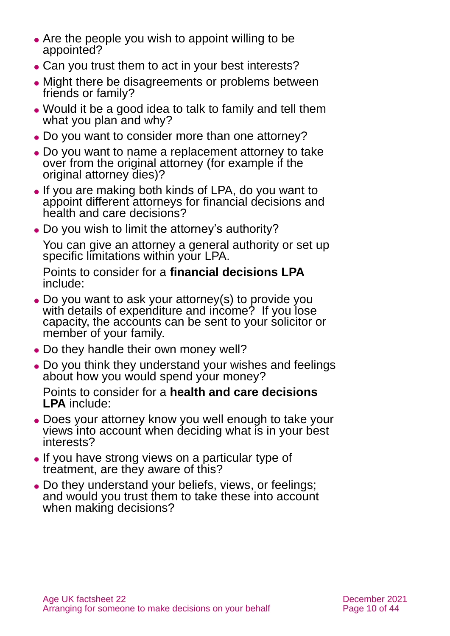- Are the people you wish to appoint willing to be appointed?
- Can you trust them to act in your best interests?
- ⚫ Might there be disagreements or problems between friends or family?
- ⚫ Would it be a good idea to talk to family and tell them what you plan and why?
- Do you want to consider more than one attorney?
- ⚫ Do you want to name a replacement attorney to take over from the original attorney (for example if the original attorney dies)?
- ⚫ If you are making both kinds of LPA, do you want to appoint different attorneys for financial decisions and health and care decisions?
- Do you wish to limit the attorney's authority?

You can give an attorney a general authority or set up specific limitations within your LPA.

Points to consider for a **financial decisions LPA** include:

- Do you want to ask your attorney(s) to provide you with details of expenditure and income? If you lose capacity, the accounts can be sent to your solicitor or member of your family.
- Do they handle their own money well?
- ⚫ Do you think they understand your wishes and feelings about how you would spend your money?

Points to consider for a **health and care decisions LPA** include:

- ⚫ Does your attorney know you well enough to take your views into account when deciding what is in your best interests?
- ⚫ If you have strong views on a particular type of treatment, are they aware of this?
- ⚫ Do they understand your beliefs, views, or feelings; and would you trust them to take these into account when making decisions?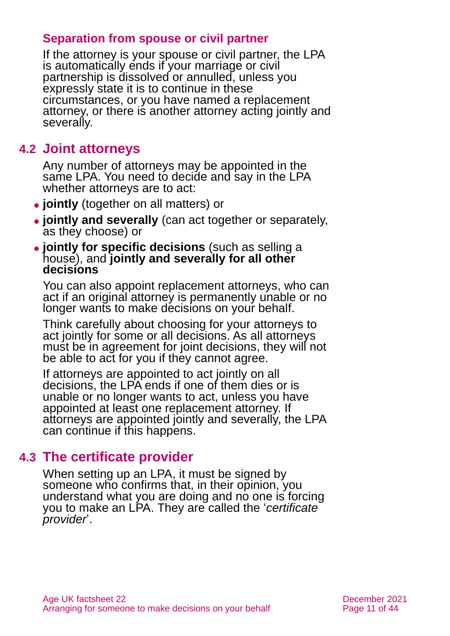#### **Separation from spouse or civil partner**

If the attorney is your spouse or civil partner, the LPA is automatically ends if your marriage or civil partnership is dissolved or annulled, unless you expressly state it is to continue in these circumstances, or you have named a replacement attorney, or there is another attorney acting jointly and severally.

### **4.2 Joint attorneys**

Any number of attorneys may be appointed in the same LPA. You need to decide and say in the LPA whether attorneys are to act:

- ⚫ **jointly** (together on all matters) or
- ⚫ **jointly and severally** (can act together or separately, as they choose) or
- ⚫ **jointly for specific decisions** (such as selling a house), and **jointly and severally for all other decisions**

You can also appoint replacement attorneys, who can act if an original attorney is permanently unable or no longer wants to make decisions on your behalf.

Think carefully about choosing for your attorneys to act jointly for some or all decisions. As all attorneys must be in agreement for joint decisions, they will not be able to act for you if they cannot agree.

If attorneys are appointed to act jointly on all decisions, the LPA ends if one of them dies or is unable or no longer wants to act, unless you have appointed at least one replacement attorney. If attorneys are appointed jointly and severally, the LPA can continue if this happens.

### **4.3 The certificate provider**

When setting up an LPA, it must be signed by someone who confirms that, in their opinion, you understand what you are doing and no one is forcing you to make an LPA. They are called the '*certificate provider*'.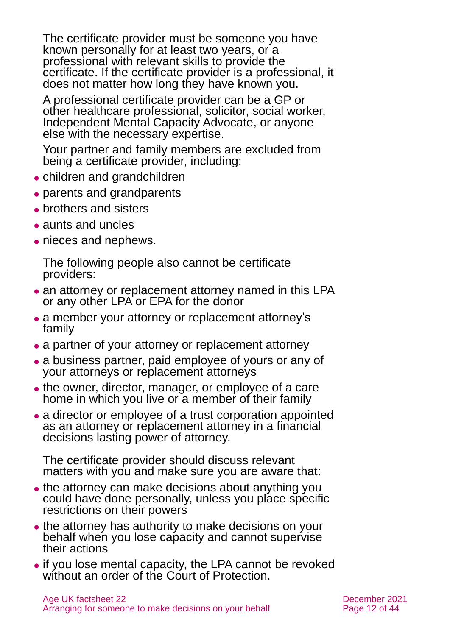The certificate provider must be someone you have known personally for at least two years, or a professional with relevant skills to provide the certificate. If the certificate provider is a professional, it does not matter how long they have known you.

A professional certificate provider can be a GP or other healthcare professional, solicitor, social worker, Independent Mental Capacity Advocate, or anyone else with the necessary expertise.

Your partner and family members are excluded from being a certificate provider, including:

- ⚫ children and grandchildren
- ⚫ parents and grandparents
- brothers and sisters
- aunts and uncles
- nieces and nephews.

The following people also cannot be certificate providers:

- an attorney or replacement attorney named in this LPA or any other LPA or EPA for the donor
- a member your attorney or replacement attorney's family
- a partner of your attorney or replacement attorney
- a business partner, paid employee of yours or any of your attorneys or replacement attorneys
- the owner, director, manager, or employee of a care home in which you live or a member of their family
- ⚫ a director or employee of a trust corporation appointed as an attorney or replacement attorney in a financial decisions lasting power of attorney.

The certificate provider should discuss relevant matters with you and make sure you are aware that:

- the attorney can make decisions about anything you could have done personally, unless you place specific restrictions on their powers
- the attorney has authority to make decisions on your behalf when you lose capacity and cannot supervise their actions
- ⚫ if you lose mental capacity, the LPA cannot be revoked without an order of the Court of Protection.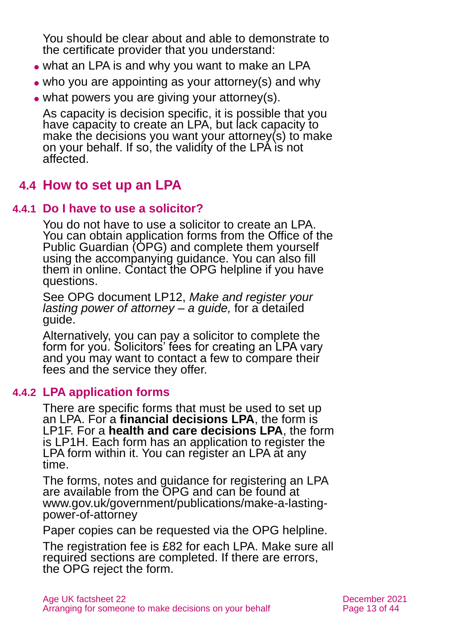You should be clear about and able to demonstrate to the certificate provider that you understand:

- what an LPA is and why you want to make an LPA
- ⚫ who you are appointing as your attorney(s) and why
- what powers you are giving your attorney(s).

As capacity is decision specific, it is possible that you have capacity to create an LPA, but lack capacity to make the decisions you want your attorney(s) to make on your behalf. If so, the validity of the LPA is not affected.

### **4.4 How to set up an LPA**

#### **4.4.1 Do I have to use a solicitor?**

You do not have to use a solicitor to create an LPA. You can obtain application forms from the Office of the Public Guardian (OPG) and complete them yourself using the accompanying guidance. You can also fill them in online. Contact the OPG helpline if you have questions.

See OPG document LP12, *[Make and register your](https://www.gov.uk/government/publications/make-a-lasting-power-of-attorney/lp12-make-and-register-your-lasting-power-of-attorney-a-guide-web-version)  [lasting power of attorney –](https://www.gov.uk/government/publications/make-a-lasting-power-of-attorney/lp12-make-and-register-your-lasting-power-of-attorney-a-guide-web-version) a guide,* for a detailed guide.

Alternatively, you can pay a solicitor to complete the form for you. Solicitors' fees for creating an LPA vary and you may want to contact a few to compare their fees and the service they offer.

#### **4.4.2 LPA application forms**

There are specific forms that must be used to set up an LPA. For a **financial decisions LPA**, the form is LP1F. For a **health and care decisions LPA**, the form is LP1H. Each form has an application to register the LPA form within it. You can register an LPA at any time.

The forms, notes and guidance for registering an LPA are available from the OPG and can be found at [www.gov.uk/government/publications/make-a-lasting](http://www.gov.uk/government/publications/make-a-lasting-power-of-attorney)[power-of-attorney](http://www.gov.uk/government/publications/make-a-lasting-power-of-attorney)

Paper copies can be requested via the OPG helpline.

The registration fee is £82 for each LPA. Make sure all required sections are completed. If there are errors, the OPG reject the form.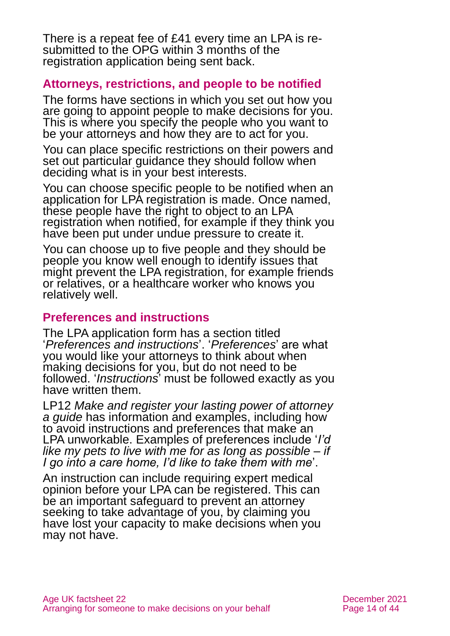There is a repeat fee of £41 every time an LPA is resubmitted to the OPG within 3 months of the registration application being sent back.

#### **Attorneys, restrictions, and people to be notified**

The forms have sections in which you set out how you are going to appoint people to make decisions for you. This is where you specify the people who you want to be your attorneys and how they are to act for you.

You can place specific restrictions on their powers and set out particular guidance they should follow when deciding what is in your best interests.

You can choose specific people to be notified when an application for LPA registration is made. Once named, these people have the right to object to an LPA registration when notified, for example if they think you have been put under undue pressure to create it.

You can choose up to five people and they should be people you know well enough to identify issues that might prevent the LPA registration, for example friends or relatives, or a healthcare worker who knows you relatively well.

#### **Preferences and instructions**

The LPA application form has a section titled '*Preferences and instructions*'. '*Preferences*' are what you would like your attorneys to think about when making decisions for you, but do not need to be followed. '*Instructions*' must be followed exactly as you have written them.

LP12 *Make and register your lasting power of attorney a guide* has information and examples, including how to avoid instructions and preferences that make an LPA unworkable. Examples of preferences include '*I'd like my pets to live with me for as long as possible – if I go into a care home, I'd like to take them with me*'.

An instruction can include requiring expert medical opinion before your LPA can be registered. This can be an important safeguard to prevent an attorney seeking to take advantage of you, by claiming you have lost your capacity to make decisions when you may not have.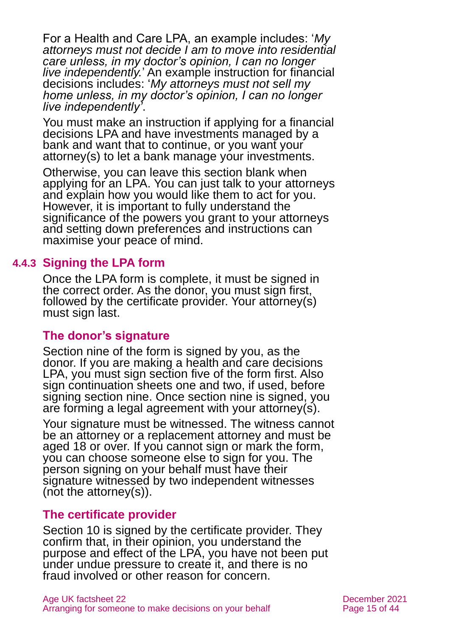For a Health and Care LPA, an example includes: '*My attorneys must not decide I am to move into residential care unless, in my doctor's opinion, I can no longer live independently.*' An example instruction for financial decisions includes: '*My attorneys must not sell my home unless, in my doctor's opinion, I can no longer live independently'*.

You must make an instruction if applying for a financial decisions LPA and have investments managed by a bank and want that to continue, or you want your attorney(s) to let a bank manage your investments.

Otherwise, you can leave this section blank when applying for an LPA. You can just talk to your attorneys and explain how you would like them to act for you. However, it is important to fully understand the significance of the powers you grant to your attorneys and setting down preferences and instructions can maximise your peace of mind.

#### **4.4.3 Signing the LPA form**

Once the LPA form is complete, it must be signed in the correct order. As the donor, you must sign first, followed by the certificate provider. Your attorney(s) must sign last.

#### **The donor's signature**

Section nine of the form is signed by you, as the donor. If you are making a health and care decisions LPA, you must sign section five of the form first. Also sign continuation sheets one and two, if used, before signing section nine. Once section nine is signed, you are forming a legal agreement with your attorney(s).

Your signature must be witnessed. The witness cannot be an attorney or a replacement attorney and must be aged 18 or over. If you cannot sign or mark the form, you can choose someone else to sign for you. The person signing on your behalf must have their signature witnessed by two independent witnesses (not the attorney(s)).

#### **The certificate provider**

Section 10 is signed by the certificate provider. They confirm that, in their opinion, you understand the purpose and effect of the LPA, you have not been put under undue pressure to create it, and there is no fraud involved or other reason for concern.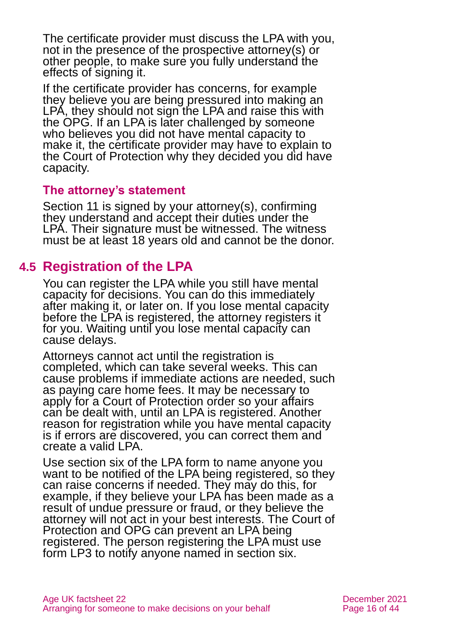The certificate provider must discuss the LPA with you, not in the presence of the prospective attorney(s) or other people, to make sure you fully understand the effects of signing it.

If the certificate provider has concerns, for example they believe you are being pressured into making an LPA, they should not sign the LPA and raise this with the OPG. If an LPA is later challenged by someone who believes you did not have mental capacity to make it, the certificate provider may have to explain to the Court of Protection why they decided you did have capacity.

#### **The attorney's statement**

Section 11 is signed by your attorney(s), confirming they understand and accept their duties under the LPA. Their signature must be witnessed. The witness must be at least 18 years old and cannot be the donor.

### <span id="page-15-0"></span>**4.5 Registration of the LPA**

You can register the LPA while you still have mental capacity for decisions. You can do this immediately after making it, or later on. If you lose mental capacity before the LPA is registered, the attorney registers it for you. Waiting until you lose mental capacity can cause delays.

Attorneys cannot act until the registration is completed, which can take several weeks. This can cause problems if immediate actions are needed, such as paying care home fees. It may be necessary to apply for a Court of Protection order so your affairs can be dealt with, until an LPA is registered. Another reason for registration while you have mental capacity is if errors are discovered, you can correct them and create a valid LPA.

Use section six of the LPA form to name anyone you want to be notified of the LPA being registered, so they can raise concerns if needed. They may do this, for example, if they believe your LPA has been made as a result of undue pressure or fraud, or they believe the attorney will not act in your best interests. The Court of Protection and OPG can prevent an LPA being registered. The person registering the LPA must use form LP3 to notify anyone named in section six.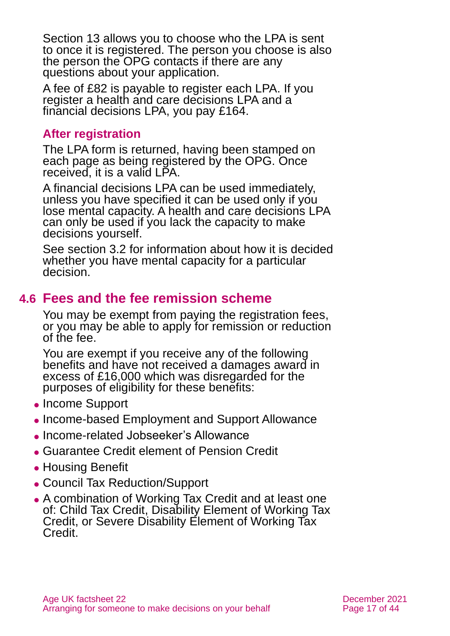Section 13 allows you to choose who the LPA is sent to once it is registered. The person you choose is also the person the OPG contacts if there are any questions about your application.

A fee of £82 is payable to register each LPA. If you register a health and care decisions LPA and a financial decisions LPA, you pay £164.

#### **After registration**

The LPA form is returned, having been stamped on each page as being registered by the OPG. Once received, it is a valid LPA.

A financial decisions LPA can be used immediately, unless you have specified it can be used only if you lose mental capacity. A health and care decisions LPA can only be used if you lack the capacity to make decisions yourself.

See [section 3.2](#page-5-1) for information about how it is decided whether you have mental capacity for a particular decision.

### <span id="page-16-0"></span>**4.6 Fees and the fee remission scheme**

You may be exempt from paying the registration fees, or you may be able to apply for remission or reduction of the fee.

You are exempt if you receive any of the following benefits and have not received a damages award in excess of £16,000 which was disregarded for the purposes of eligibility for these benefits:

- ⚫ Income Support
- ⚫ Income-based Employment and Support Allowance
- ⚫ Income-related Jobseeker's Allowance
- ⚫ Guarantee Credit element of Pension Credit
- ⚫ Housing Benefit
- ⚫ Council Tax Reduction/Support
- ⚫ A combination of Working Tax Credit and at least one of: Child Tax Credit, Disability Element of Working Tax Credit, or Severe Disability Element of Working Tax Credit.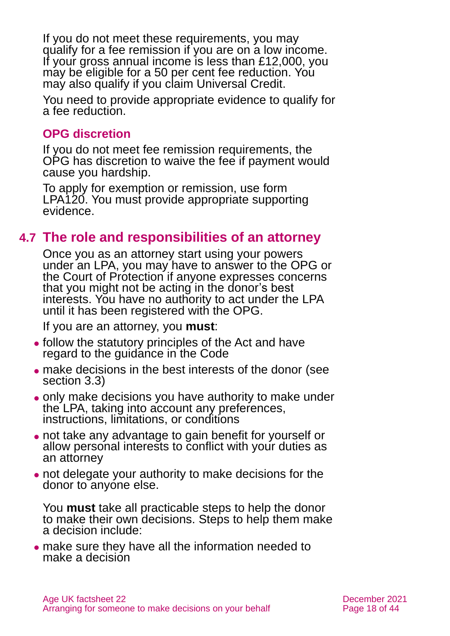If you do not meet these requirements, you may qualify for a fee remission if you are on a low income. If your gross annual income is less than £12,000, you may be eligible for a 50 per cent fee reduction. You may also qualify if you claim Universal Credit.

You need to provide appropriate evidence to qualify for a fee reduction.

#### **OPG discretion**

If you do not meet fee remission requirements, the OPG has discretion to waive the fee if payment would cause you hardship.

To apply for exemption or remission, use [form](https://www.gov.uk/government/publications/power-of-attorney-fees)  [LPA120.](https://www.gov.uk/government/publications/power-of-attorney-fees) You must provide appropriate supporting evidence.

### **4.7 The role and responsibilities of an attorney**

Once you as an attorney start using your powers under an LPA, you may have to answer to the OPG or the Court of Protection if anyone expresses concerns that you might not be acting in the donor's best interests. You have no authority to act under the LPA until it has been registered with the OPG.

If you are an attorney, you **must**:

- ⚫ follow the statutory principles of the Act and have regard to the guidance in the Code
- ⚫ make decisions in the best interests of the donor [\(see](#page-5-0)  [section 3.3\)](#page-5-0)
- ⚫ only make decisions you have authority to make under the LPA, taking into account any preferences, instructions, limitations, or conditions
- ⚫ not take any advantage to gain benefit for yourself or allow personal interests to conflict with your duties as an attorney
- ⚫ not delegate your authority to make decisions for the donor to anyone else.

You **must** take all practicable steps to help the donor to make their own decisions. Steps to help them make a decision include:

⚫ make sure they have all the information needed to make a decision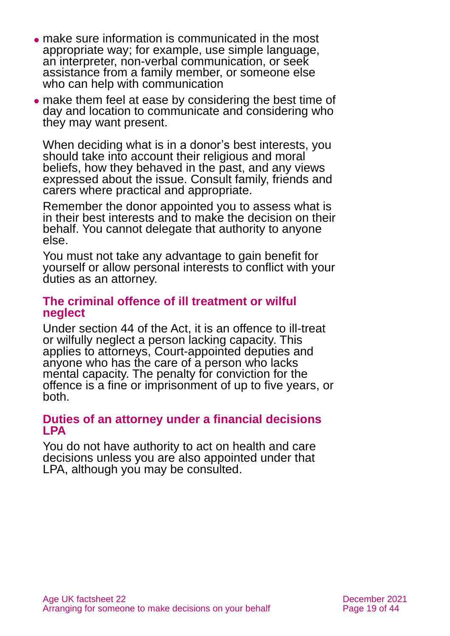- ⚫ make sure information is communicated in the most appropriate way; for example, use simple language, an interpreter, non-verbal communication, or seek assistance from a family member, or someone else who can help with communication
- ⚫ make them feel at ease by considering the best time of day and location to communicate and considering who they may want present.

When deciding what is in a donor's best interests, you should take into account their religious and moral beliefs, how they behaved in the past, and any views expressed about the issue. Consult family, friends and carers where practical and appropriate.

Remember the donor appointed you to assess what is in their best interests and to make the decision on their behalf. You cannot delegate that authority to anyone else.

You must not take any advantage to gain benefit for yourself or allow personal interests to conflict with your duties as an attorney.

#### **The criminal offence of ill treatment or wilful neglect**

Under section 44 of the Act, it is an offence to ill-treat or wilfully neglect a person lacking capacity. This applies to attorneys, Court-appointed deputies and anyone who has the care of a person who lacks mental capacity. The penalty for conviction for the offence is a fine or imprisonment of up to five years, or both.

#### **Duties of an attorney under a financial decisions LPA**

You do not have authority to act on health and care decisions unless you are also appointed under that LPA, although you may be consulted.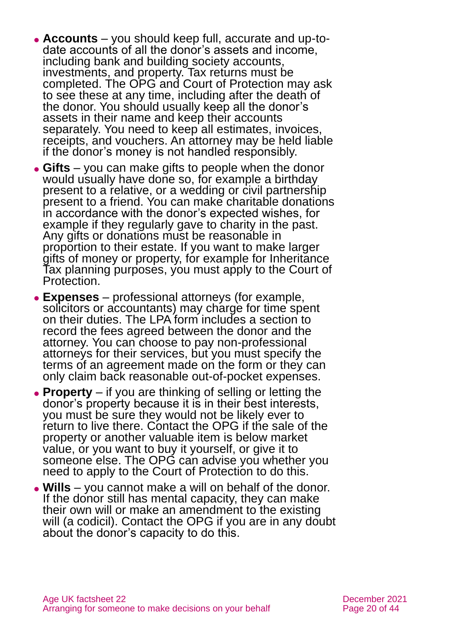- ⚫ **Accounts** you should keep full, accurate and up-todate accounts of all the donor's assets and income, including bank and building society accounts, investments, and property. Tax returns must be completed. The OPG and Court of Protection may ask to see these at any time, including after the death of the donor. You should usually keep all the donor's assets in their name and keep their accounts separately. You need to keep all estimates, invoices, receipts, and vouchers. An attorney may be held liable if the donor's money is not handled responsibly.
- ⚫ **Gifts** you can make gifts to people when the donor would usually have done so, for example a birthday present to a relative, or a wedding or civil partnership present to a friend. You can make charitable donations in accordance with the donor's expected wishes, for example if they regularly gave to charity in the past. Any gifts or donations must be reasonable in proportion to their estate. If you want to make larger gifts of money or property, for example for Inheritance Tax planning purposes, you must apply to the Court of Protection.
- ⚫ **Expenses** professional attorneys (for example, solicitors or accountants) may charge for time spent on their duties. The LPA form includes a section to record the fees agreed between the donor and the attorney. You can choose to pay non-professional attorneys for their services, but you must specify the terms of an agreement made on the form or they can only claim back reasonable out-of-pocket expenses.
- ⚫ **Property** if you are thinking of selling or letting the donor's property because it is in their best interests, you must be sure they would not be likely ever to return to live there. Contact the OPG if the sale of the property or another valuable item is below market value, or you want to buy it yourself, or give it to someone else. The OPG can advise you whether you need to apply to the Court of Protection to do this.
- ⚫ **Wills** you cannot make a will on behalf of the donor. If the donor still has mental capacity, they can make their own will or make an amendment to the existing will (a codicil). Contact the OPG if you are in any doubt about the donor's capacity to do this.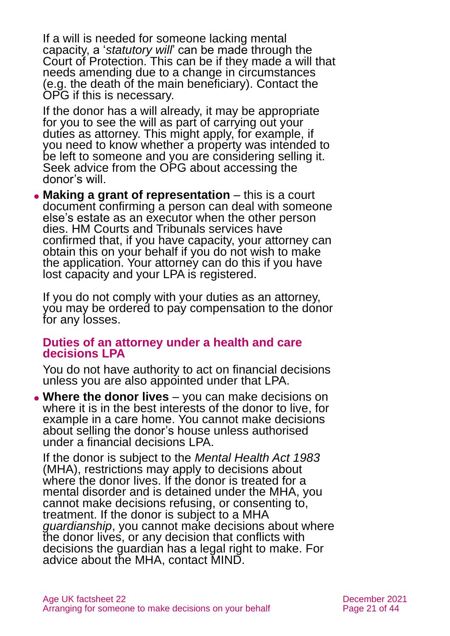If a will is needed for someone lacking mental capacity, a '*statutory will*' can be made through the Court of Protection. This can be if they made a will that needs amending due to a change in circumstances (e.g. the death of the main beneficiary). Contact the OPG if this is necessary.

If the donor has a will already, it may be appropriate for you to see the will as part of carrying out your duties as attorney. This might apply, for example, if you need to know whether a property was intended to be left to someone and you are considering selling it. Seek advice from the OPG about accessing the donor's will.

⚫ **Making a grant of representation** – this is a court document confirming a person can deal with someone else's estate as an executor when the other person dies. HM Courts and Tribunals services have confirmed that, if you have capacity, your attorney can obtain this on your behalf if you do not wish to make the application. Your attorney can do this if you have lost capacity and your LPA is registered.

If you do not comply with your duties as an attorney, you may be ordered to pay compensation to the donor for any losses.

#### **Duties of an attorney under a health and care decisions LPA**

You do not have authority to act on financial decisions unless you are also appointed under that LPA.

⚫ **Where the donor lives** – you can make decisions on where it is in the best interests of the donor to live, for example in a care home. You cannot make decisions about selling the donor's house unless authorised under a financial decisions LPA.

If the donor is subject to the *Mental Health Act 1983* (MHA), restrictions may apply to decisions about where the donor lives. If the donor is treated for a mental disorder and is detained under the MHA, you cannot make decisions refusing, or consenting to, treatment. If the donor is subject to a MHA *guardianship*, you cannot make decisions about where the donor lives, or any decision that conflicts with decisions the guardian has a legal right to make. For advice about the MHA, contact MIND.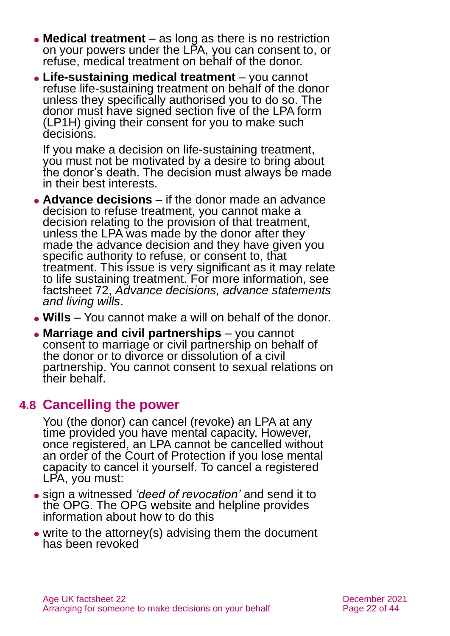- ⚫ **Medical treatment** as long as there is no restriction on your powers under the LPA, you can consent to, or refuse, medical treatment on behalf of the donor.
- ⚫ **Life-sustaining medical treatment** you cannot refuse life-sustaining treatment on behalf of the donor unless they specifically authorised you to do so. The donor must have signed section five of the LPA form (LP1H) giving their consent for you to make such decisions.

If you make a decision on life-sustaining treatment, you must not be motivated by a desire to bring about the donor's death. The decision must always be made in their best interests.

- ⚫ **Advance decisions** if the donor made an advance decision to refuse treatment, you cannot make a decision relating to the provision of that treatment, unless the LPA was made by the donor after they made the advance decision and they have given you specific authority to refuse, or consent to, that treatment. This issue is very significant as it may relate to life sustaining treatment. For more information, see factsheet 72, *[Advance decisions, advance statements](https://www.ageuk.org.uk/globalassets/age-uk/documents/factsheets/fs72_advance_decisions_advance_statements_and_living_wills_fcs.pdf)  [and living wills](https://www.ageuk.org.uk/globalassets/age-uk/documents/factsheets/fs72_advance_decisions_advance_statements_and_living_wills_fcs.pdf)*.
- ⚫ **Wills** You cannot make a will on behalf of the donor.
- ⚫ **Marriage and civil partnerships** you cannot consent to marriage or civil partnership on behalf of the donor or to divorce or dissolution of a civil partnership. You cannot consent to sexual relations on their behalf.

#### **4.8 Cancelling the power**

You (the donor) can cancel (revoke) an LPA at any time provided you have mental capacity. However, once registered, an LPA cannot be cancelled without an order of the Court of Protection if you lose mental capacity to cancel it yourself. To cancel a registered LPA, you must:

- ⚫ sign a witnessed *'deed of revocation'* and send it to the OPG. The OPG website and helpline provides information about how to do this
- write to the attorney(s) advising them the document has been revoked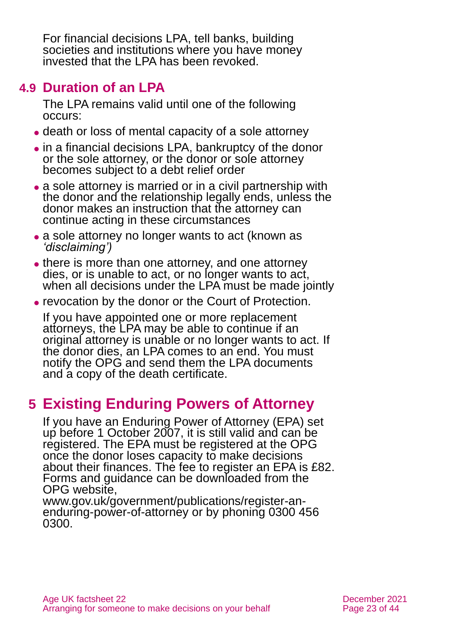For financial decisions LPA, tell banks, building societies and institutions where you have money invested that the LPA has been revoked.

### **4.9 Duration of an LPA**

The LPA remains valid until one of the following occurs:

- ⚫ death or loss of mental capacity of a sole attorney
- ⚫ in a financial decisions LPA, bankruptcy of the donor or the sole attorney, or the donor or sole attorney becomes subject to a debt relief order
- ⚫ a sole attorney is married or in a civil partnership with the donor and the relationship legally ends, unless the donor makes an instruction that the attorney can continue acting in these circumstances
- a sole attorney no longer wants to act (known as *'disclaiming')*
- there is more than one attorney, and one attorney dies, or is unable to act, or no longer wants to act, when all decisions under the LPA must be made jointly
- ⚫ revocation by the donor or the Court of Protection.

If you have appointed one or more replacement attorneys, the LPA may be able to continue if an original attorney is unable or no longer wants to act. If the donor dies, an LPA comes to an end. You must notify the OPG and send them the LPA documents and a copy of the death certificate.

# <span id="page-22-0"></span>**5 Existing Enduring Powers of Attorney**

If you have an Enduring Power of Attorney (EPA) set up before 1 October 2007, it is still valid and can be registered. The EPA must be registered at the OPG once the donor loses capacity to make decisions about their finances. The fee to register an EPA is £82. Forms and guidance can be downloaded from the OPG website,

[www.gov.uk/government/publications/register-an](http://www.gov.uk/government/publications/register-an-enduring-power-of-attorney)[enduring-power-of-attorney](http://www.gov.uk/government/publications/register-an-enduring-power-of-attorney) or by phoning 0300 456 0300.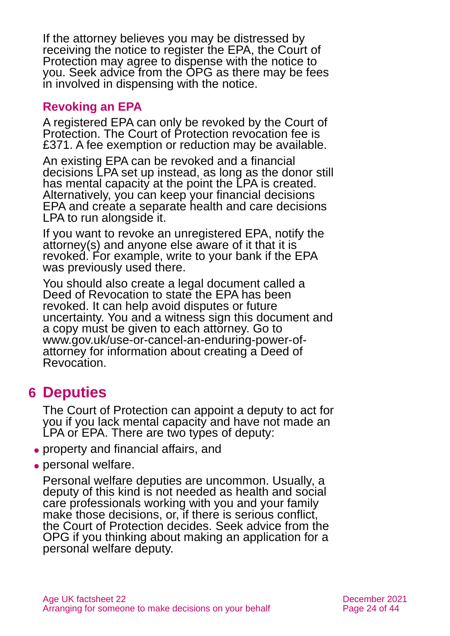If the attorney believes you may be distressed by receiving the notice to register the EPA, the Court of Protection may agree to dispense with the notice to you. Seek advice from the OPG as there may be fees in involved in dispensing with the notice.

#### **Revoking an EPA**

A registered EPA can only be revoked by the Court of Protection. The Court of Protection revocation fee is £371. A fee exemption or reduction may be available.

An existing EPA can be revoked and a financial decisions LPA set up instead, as long as the donor still has mental capacity at the point the LPA is created. Alternatively, you can keep your financial decisions EPA and create a separate health and care decisions LPA to run alongside it.

If you want to revoke an unregistered EPA, notify the attorney(s) and anyone else aware of it that it is revoked. For example, write to your bank if the EPA was previously used there.

You should also create a legal document called a Deed of Revocation to state the EPA has been revoked. It can help avoid disputes or future uncertainty. You and a witness sign this document and a copy must be given to each attorney. Go to [www.gov.uk/use-or-cancel-an-enduring-power-of](http://www.gov.uk/use-or-cancel-an-enduring-power-of-attorney)[attorney](http://www.gov.uk/use-or-cancel-an-enduring-power-of-attorney) for information about creating a Deed of Revocation.

### <span id="page-23-0"></span>**6 Deputies**

The Court of Protection can appoint a deputy to act for you if you lack mental capacity and have not made an LPA or EPA. There are two types of deputy:

- ⚫ property and financial affairs, and
- personal welfare.

Personal welfare deputies are uncommon. Usually, a deputy of this kind is not needed as health and social care professionals working with you and your family make those decisions, or, if there is serious conflict, the Court of Protection decides. Seek advice from the OPG if you thinking about making an application for a personal welfare deputy.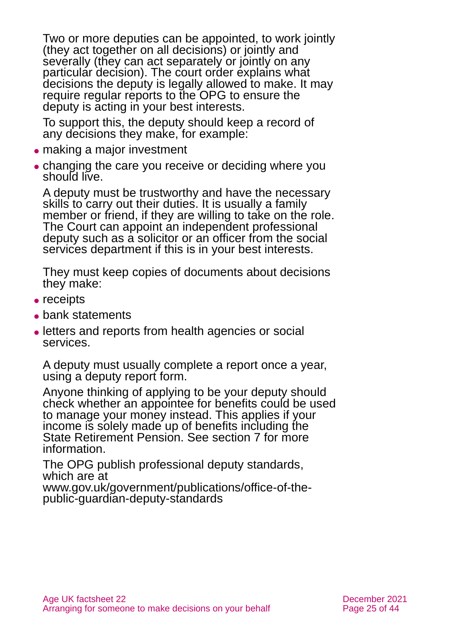Two or more deputies can be appointed, to work jointly (they act together on all decisions) or jointly and severally (they can act separately or jointly on any particular decision). The court order explains what decisions the deputy is legally allowed to make. It may require regular reports to the OPG to ensure the deputy is acting in your best interests.

To support this, the deputy should keep a record of any decisions they make, for example:

- ⚫ making a major investment
- ⚫ changing the care you receive or deciding where you should live.

A deputy must be trustworthy and have the necessary skills to carry out their duties. It is usually a family member or friend, if they are willing to take on the role. The Court can appoint an independent professional deputy such as a solicitor or an officer from the social services department if this is in your best interests.

They must keep copies of documents about decisions they make:

- receipts
- bank statements
- letters and reports from health agencies or social services.

A deputy must usually complete a report once a year, using a deputy report form.

Anyone thinking of applying to be your deputy should check whether an appointee for benefits could be used to manage your money instead. This applies if your income is solely made up of benefits including the State Retirement Pension. See [section 7](#page-27-0) for more information.

The OPG publish professional deputy standards, which are at

[www.gov.uk/government/publications/office-of-the](http://www.gov.uk/government/publications/office-of-the-public-guardian-deputy-standards)[public-guardian-deputy-standards](http://www.gov.uk/government/publications/office-of-the-public-guardian-deputy-standards)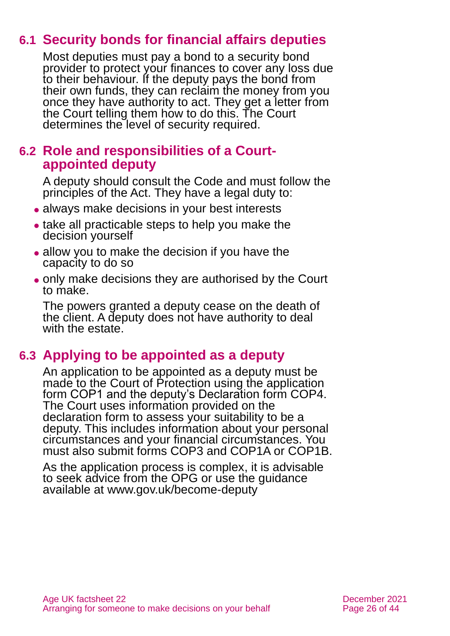### **6.1 Security bonds for financial affairs deputies**

Most deputies must pay a bond to a security bond provider to protect your finances to cover any loss due to their behaviour. If the deputy pays the bond from their own funds, they can reclaim the money from you once they have authority to act. They get a letter from the Court telling them how to do this. The Court determines the level of security required.

### **6.2 Role and responsibilities of a Courtappointed deputy**

A deputy should consult the Code and must follow the principles of the Act. They have a legal duty to:

- ⚫ always make decisions in your best interests
- take all practicable steps to help you make the decision yourself
- ⚫ allow you to make the decision if you have the capacity to do so
- ⚫ only make decisions they are authorised by the Court to make.

The powers granted a deputy cease on the death of the client. A deputy does not have authority to deal with the estate.

### **6.3 Applying to be appointed as a deputy**

An application to be appointed as a deputy must be made to the Court of Protection using the application form COP1 and the deputy's Declaration form COP4. The Court uses information provided on the declaration form to assess your suitability to be a deputy. This includes information about your personal circumstances and your financial circumstances. You must also submit forms COP3 and COP1A or COP1B.

As the application process is complex, it is advisable to seek advice from the OPG or use the guidance available at [www.gov.uk/become-deputy](https://www.gov.uk/become-deputy)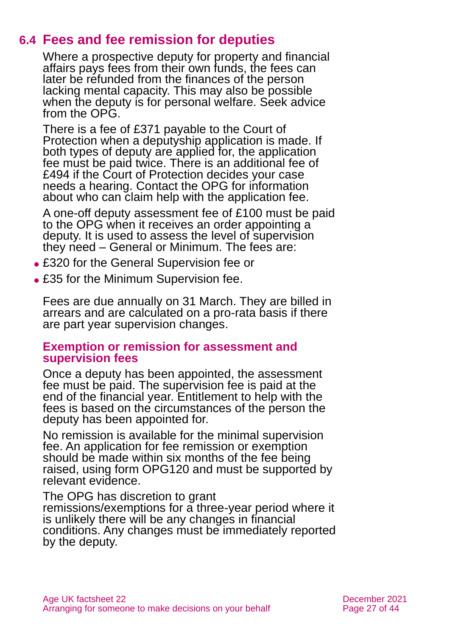### **6.4 Fees and fee remission for deputies**

Where a prospective deputy for property and financial affairs pays fees from their own funds, the fees can later be refunded from the finances of the person lacking mental capacity. This may also be possible when the deputy is for personal welfare. Seek advice from the OPG.

There is a fee of £371 payable to the Court of Protection when a deputyship application is made. If both types of deputy are applied for, the application fee must be paid twice. There is an additional fee of £494 if the Court of Protection decides your case needs a hearing. Contact the OPG for information about who can claim help with the application fee.

A one-off deputy assessment fee of £100 must be paid to the OPG when it receives an order appointing a deputy. It is used to assess the level of supervision they need – General or Minimum. The fees are:

- ⚫ £320 for the General Supervision fee or
- £35 for the Minimum Supervision fee.

Fees are due annually on 31 March. They are billed in arrears and are calculated on a pro-rata basis if there are part year supervision changes.

#### **Exemption or remission for assessment and supervision fees**

Once a deputy has been appointed, the assessment fee must be paid. The supervision fee is paid at the end of the financial year. Entitlement to help with the fees is based on the circumstances of the person the deputy has been appointed for.

No remission is available for the minimal supervision fee. An application for fee remission or exemption should be made within six months of the fee being raised, using [form OPG120](https://www.gov.uk/government/publications/deputy-fees-remission-or-exemption) and must be supported by relevant evidence.

The OPG has discretion to grant remissions/exemptions for a three-year period where it is unlikely there will be any changes in financial conditions. Any changes must be immediately reported by the deputy.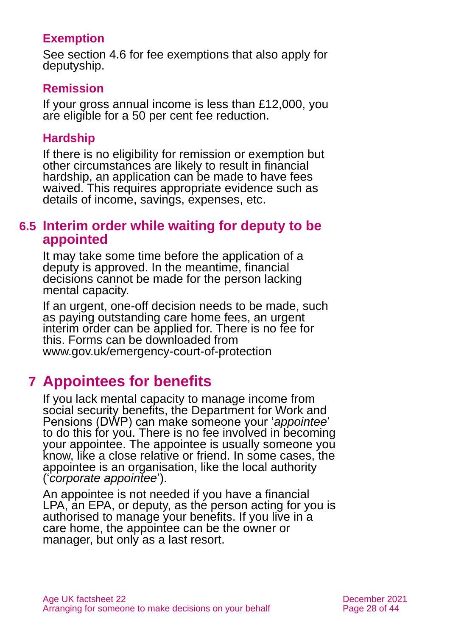#### **Exemption**

[See section 4.6](#page-16-0) for fee exemptions that also apply for deputyship.

#### **Remission**

If your gross annual income is less than £12,000, you are eligible for a 50 per cent fee reduction.

#### **Hardship**

If there is no eligibility for remission or exemption but other circumstances are likely to result in financial hardship, an application can be made to have fees waived. This requires appropriate evidence such as details of income, savings, expenses, etc.

#### **6.5 Interim order while waiting for deputy to be appointed**

It may take some time before the application of a deputy is approved. In the meantime, financial decisions cannot be made for the person lacking mental capacity.

If an urgent, one-off decision needs to be made, such as paying outstanding care home fees, an urgent interim order can be applied for. There is no fee for this. Forms can be downloaded from [www.gov.uk/emergency-court-of-protection](http://www.gov.uk/emergency-court-of-protection)

# <span id="page-27-0"></span>**7 Appointees for benefits**

If you lack mental capacity to manage income from social security benefits, the Department for Work and Pensions (DWP) can make someone your '*appointee*' to do this for you. There is no fee involved in becoming your appointee. The appointee is usually someone you know, like a close relative or friend. In some cases, the appointee is an organisation, like the local authority ('*corporate appointee*').

An appointee is not needed if you have a financial LPA, an EPA, or deputy, as the person acting for you is authorised to manage your benefits. If you live in a care home, the appointee can be the owner or manager, but only as a last resort.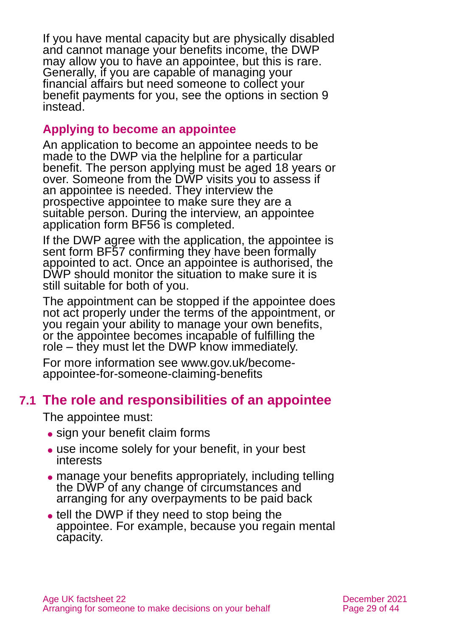If you have mental capacity but are physically disabled and cannot manage your benefits income, the DWP may allow you to have an appointee, but this is rare. Generally, if you are capable of managing your financial affairs but need someone to collect your benefit payments for you, see the options in [section 9](#page-30-0) instead.

#### **Applying to become an appointee**

An application to become an appointee needs to be made to the DWP via the helpline for a particular benefit. The person applying must be aged 18 years or over. Someone from the DWP visits you to assess if an appointee is needed. They interview the prospective appointee to make sure they are a suitable person. During the interview, an appointee application form BF56 is completed.

If the DWP agree with the application, the appointee is sent form BF57 confirming they have been formally appointed to act. Once an appointee is authorised, the DWP should monitor the situation to make sure it is still suitable for both of you.

The appointment can be stopped if the appointee does not act properly under the terms of the appointment, or you regain your ability to manage your own benefits, or the appointee becomes incapable of fulfilling the role – they must let the DWP know immediately.

For more information see [www.gov.uk/become](http://www.gov.uk/become-appointee-for-someone-claiming-benefits)[appointee-for-someone-claiming-benefits](http://www.gov.uk/become-appointee-for-someone-claiming-benefits)

### **7.1 The role and responsibilities of an appointee**

The appointee must:

- sign your benefit claim forms
- use income solely for your benefit, in your best interests
- manage your benefits appropriately, including telling the DWP of any change of circumstances and arranging for any overpayments to be paid back
- tell the DWP if they need to stop being the appointee. For example, because you regain mental capacity.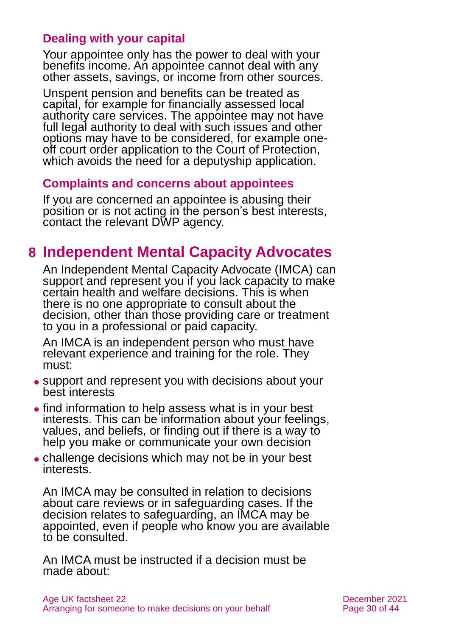#### **Dealing with your capital**

Your appointee only has the power to deal with your benefits income. An appointee cannot deal with any other assets, savings, or income from other sources.

Unspent pension and benefits can be treated as capital, for example for financially assessed local authority care services. The appointee may not have full legal authority to deal with such issues and other options may have to be considered, for example oneoff court order application to the Court of Protection, which avoids the need for a deputyship application.

#### **Complaints and concerns about appointees**

If you are concerned an appointee is abusing their position or is not acting in the person's best interests, contact the relevant DWP agency.

# <span id="page-29-0"></span>**8 Independent Mental Capacity Advocates**

An Independent Mental Capacity Advocate (IMCA) can support and represent you if you lack capacity to make certain health and welfare decisions. This is when there is no one appropriate to consult about the decision, other than those providing care or treatment to you in a professional or paid capacity.

An IMCA is an independent person who must have relevant experience and training for the role. They must:

- ⚫ support and represent you with decisions about your best interests
- find information to help assess what is in your best interests. This can be information about your feelings, values, and beliefs, or finding out if there is a way to help you make or communicate your own decision
- challenge decisions which may not be in your best interests.

An IMCA may be consulted in relation to decisions about care reviews or in safeguarding cases. If the decision relates to safeguarding, an IMCA may be appointed, even if people who know you are available to be consulted.

An IMCA must be instructed if a decision must be made about: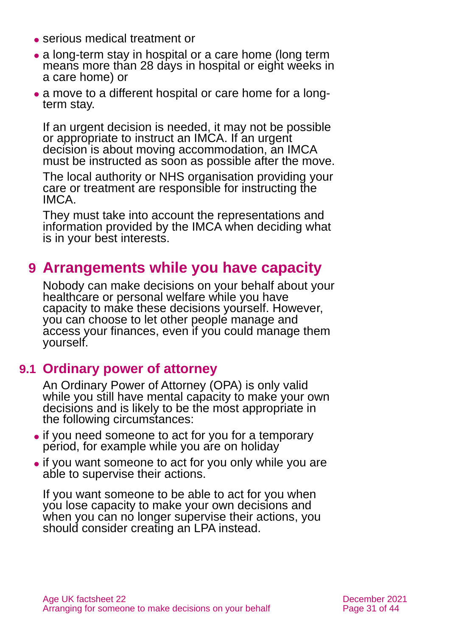- ⚫ serious medical treatment or
- a long-term stay in hospital or a care home (long term means more than 28 days in hospital or eight weeks in a care home) or
- ⚫ a move to a different hospital or care home for a longterm stay.

If an urgent decision is needed, it may not be possible or appropriate to instruct an IMCA. If an urgent decision is about moving accommodation, an IMCA must be instructed as soon as possible after the move.

The local authority or NHS organisation providing your care or treatment are responsible for instructing the IMCA.

They must take into account the representations and information provided by the IMCA when deciding what is in your best interests.

# <span id="page-30-0"></span>**9 Arrangements while you have capacity**

Nobody can make decisions on your behalf about your healthcare or personal welfare while you have capacity to make these decisions yourself. However, you can choose to let other people manage and access your finances, even if you could manage them yourself.

### **9.1 Ordinary power of attorney**

An Ordinary Power of Attorney (OPA) is only valid while you still have mental capacity to make your own decisions and is likely to be the most appropriate in the following circumstances:

- ⚫ if you need someone to act for you for a temporary period, for example while you are on holiday
- ⚫ if you want someone to act for you only while you are able to supervise their actions.

If you want someone to be able to act for you when you lose capacity to make your own decisions and when you can no longer supervise their actions, you should consider creating an LPA instead.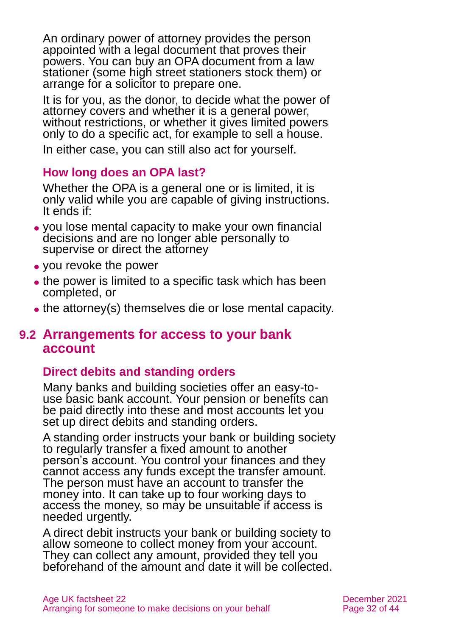An ordinary power of attorney provides the person appointed with a legal document that proves their powers. You can buy an OPA document from a law stationer (some high street stationers stock them) or arrange for a solicitor to prepare one.

It is for you, as the donor, to decide what the power of attorney covers and whether it is a general power, without restrictions, or whether it gives limited powers only to do a specific act, for example to sell a house.

In either case, you can still also act for yourself.

#### **How long does an OPA last?**

Whether the OPA is a general one or is limited, it is only valid while you are capable of giving instructions. It ends if:

- ⚫ you lose mental capacity to make your own financial decisions and are no longer able personally to supervise or direct the attorney
- ⚫ you revoke the power
- the power is limited to a specific task which has been completed, or
- the attorney(s) themselves die or lose mental capacity.

#### **9.2 Arrangements for access to your bank account**

#### **Direct debits and standing orders**

Many banks and building societies offer an easy-touse basic bank account. Your pension or benefits can be paid directly into these and most accounts let you set up direct debits and standing orders.

A standing order instructs your bank or building society to regularly transfer a fixed amount to another person's account. You control your finances and they cannot access any funds except the transfer amount. The person must have an account to transfer the money into. It can take up to four working days to access the money, so may be unsuitable if access is needed urgently.

A direct debit instructs your bank or building society to allow someone to collect money from your account. They can collect any amount, provided they tell you beforehand of the amount and date it will be collected.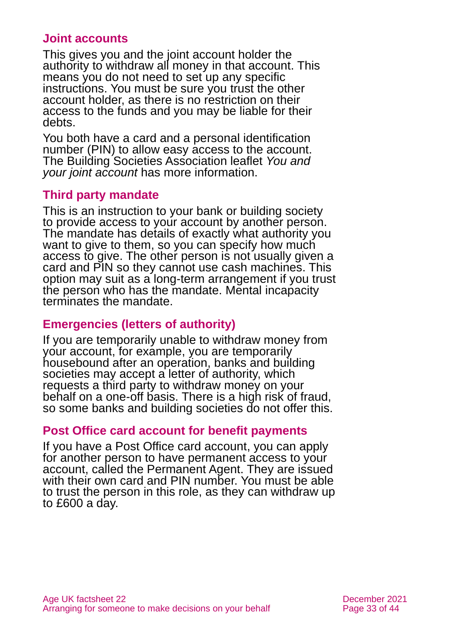#### **Joint accounts**

This gives you and the joint account holder the authority to withdraw all money in that account. This means you do not need to set up any specific instructions. You must be sure you trust the other account holder, as there is no restriction on their access to the funds and you may be liable for their debts.

You both have a card and a personal identification number (PIN) to allow easy access to the account. The Building Societies Association leaflet *[You and](https://www.bsa.org.uk/information/consumer-factsheets/savings/you-and-your-joint-account)  [your joint](https://www.bsa.org.uk/information/consumer-factsheets/savings/you-and-your-joint-account) account* has more information.

#### **Third party mandate**

This is an instruction to your bank or building society to provide access to your account by another person. The mandate has details of exactly what authority you want to give to them, so you can specify how much access to give. The other person is not usually given a card and PIN so they cannot use cash machines. This option may suit as a long-term arrangement if you trust the person who has the mandate. Mental incapacity terminates the mandate.

#### **Emergencies (letters of authority)**

If you are temporarily unable to withdraw money from your account, for example, you are temporarily housebound after an operation, banks and building societies may accept a letter of authority, which requests a third party to withdraw money on your behalf on a one-off basis. There is a high risk of fraud, so some banks and building societies do not offer this.

#### **Post Office card account for benefit payments**

If you have a Post Office card account, you can apply for another person to have permanent access to your account, called the Permanent Agent. They are issued with their own card and PIN number. You must be able to trust the person in this role, as they can withdraw up to £600 a day.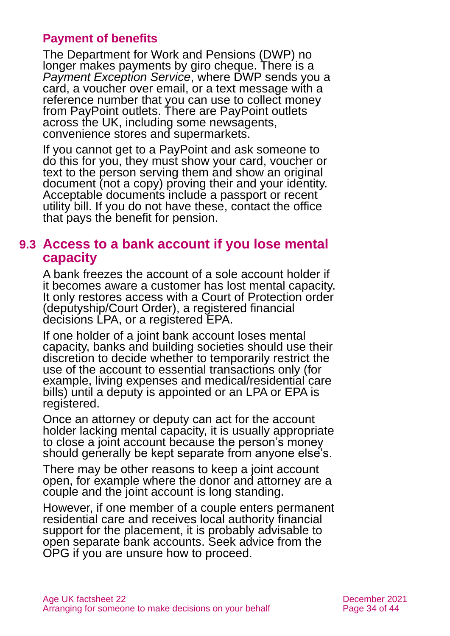#### **Payment of benefits**

The Department for Work and Pensions (DWP) no longer makes payments by giro cheque. There is a *Payment Exception Service*, where DWP sends you a card, a voucher over email, or a text message with a reference number that you can use to collect money from PayPoint outlets. There are PayPoint outlets across the UK, including some newsagents, convenience stores and supermarkets.

If you cannot get to a PayPoint and ask someone to do this for you, they must show your card, voucher or text to the person serving them and show an original document (not a copy) proving their and your identity. Acceptable documents include a passport or recent utility bill. If you do not have these, contact the office that pays the benefit for pension.

#### **9.3 Access to a bank account if you lose mental capacity**

A bank freezes the account of a sole account holder if it becomes aware a customer has lost mental capacity. It only restores access with a Court of Protection order (deputyship/Court Order), a registered financial decisions LPA, or a registered EPA.

If one holder of a joint bank account loses mental capacity, banks and building societies should use their discretion to decide whether to temporarily restrict the use of the account to essential transactions only (for example, living expenses and medical/residential care bills) until a deputy is appointed or an LPA or EPA is registered.

Once an attorney or deputy can act for the account holder lacking mental capacity, it is usually appropriate to close a joint account because the person's money should generally be kept separate from anyone else's.

There may be other reasons to keep a joint account open, for example where the donor and attorney are a couple and the joint account is long standing.

However, if one member of a couple enters permanent residential care and receives local authority financial support for the placement, it is probably advisable to open separate bank accounts. Seek advice from the OPG if you are unsure how to proceed.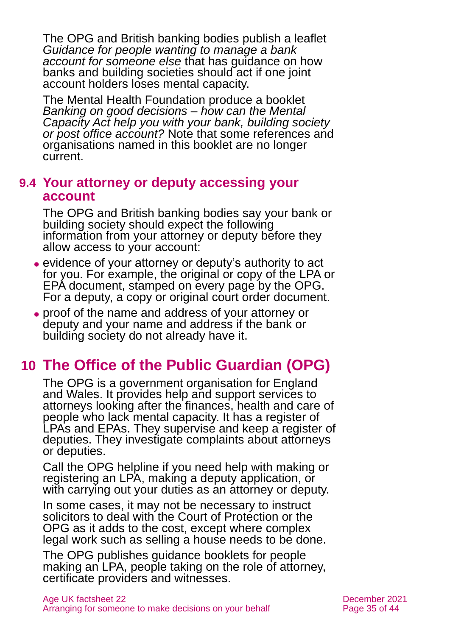The OPG and British banking bodies publish a leaflet *[Guidance for people wanting to manage a bank](https://www.gov.uk/government/publications/deputy-and-attorney-guidance-dealing-with-banks)  [account for someone else](https://www.gov.uk/government/publications/deputy-and-attorney-guidance-dealing-with-banks)* that has guidance on how banks and building societies should act if one joint account holders loses mental capacity.

The Mental Health Foundation produce a booklet *[Banking on good decisions –](https://www.mentalhealth.org.uk/sites/default/files/banking_good_decisions_summary.pdf) how can the Mental [Capacity Act help you with your bank, building society](https://www.mentalhealth.org.uk/sites/default/files/banking_good_decisions_summary.pdf)  [or post office account?](https://www.mentalhealth.org.uk/sites/default/files/banking_good_decisions_summary.pdf)* Note that some references and organisations named in this booklet are no longer current.

#### **9.4 Your attorney or deputy accessing your account**

The OPG and British banking bodies say your bank or building society should expect the following information from your attorney or deputy before they allow access to your account:

- ⚫ evidence of your attorney or deputy's authority to act for you. For example, the original or copy of the LPA or EPA document, stamped on every page by the OPG. For a deputy, a copy or original court order document.
- ⚫ proof of the name and address of your attorney or deputy and your name and address if the bank or building society do not already have it.

# <span id="page-34-0"></span>**10 The Office of the Public Guardian (OPG)**

The OPG is a government organisation for England and Wales. It provides help and support services to attorneys looking after the finances, health and care of people who lack mental capacity. It has a register of LPAs and EPAs. They supervise and keep a register of deputies. They investigate complaints about attorneys or deputies.

Call the OPG helpline if you need help with making or registering an LPA, making a deputy application, or with carrying out your duties as an attorney or deputy.

In some cases, it may not be necessary to instruct solicitors to deal with the Court of Protection or the OPG as it adds to the cost, except where complex legal work such as selling a house needs to be done.

The OPG publishes guidance booklets for people making an LPA, people taking on the role of attorney, certificate providers and witnesses.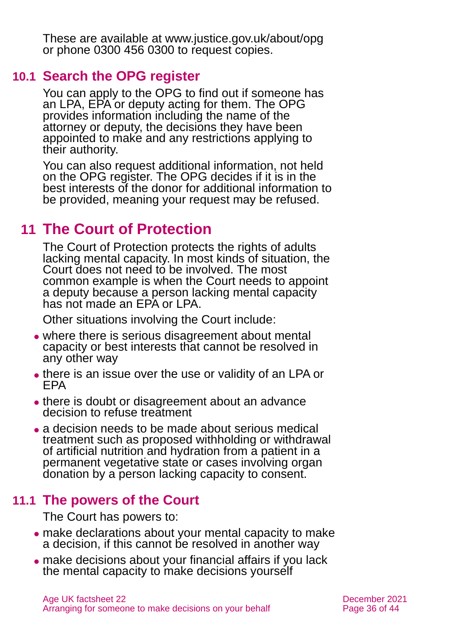These are available at [www.justice.gov.uk/about/opg](http://www.justice.gov.uk/about/opg) or phone 0300 456 0300 to request copies.

### **10.1 Search the OPG register**

You can apply to the OPG to find out if someone has an LPA, EPA or deputy acting for them. The OPG provides information including the name of the attorney or deputy, the decisions they have been appointed to make and any restrictions applying to their authority.

You can also request additional information, not held on the OPG register. The OPG decides if it is in the best interests of the donor for additional information to be provided, meaning your request may be refused.

# <span id="page-35-0"></span>**11 The Court of Protection**

The Court of Protection protects the rights of adults lacking mental capacity. In most kinds of situation, the Court does not need to be involved. The most common example is when the Court needs to appoint a deputy because a person lacking mental capacity has not made an EPA or LPA.

Other situations involving the Court include:

- where there is serious disagreement about mental capacity or best interests that cannot be resolved in any other way
- ⚫ there is an issue over the use or validity of an LPA or EPA
- there is doubt or disagreement about an advance decision to refuse treatment
- a decision needs to be made about serious medical treatment such as proposed withholding or withdrawal of artificial nutrition and hydration from a patient in a permanent vegetative state or cases involving organ donation by a person lacking capacity to consent.

### **11.1 The powers of the Court**

The Court has powers to:

- ⚫ make declarations about your mental capacity to make a decision, if this cannot be resolved in another way
- ⚫ make decisions about your financial affairs if you lack the mental capacity to make decisions yourself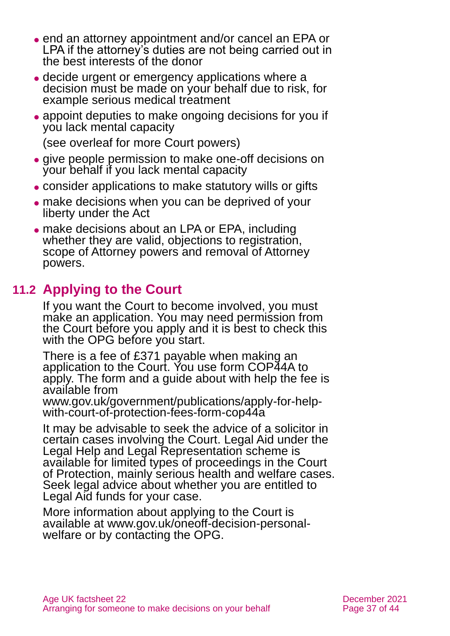- ⚫ end an attorney appointment and/or cancel an EPA or LPA if the attorney's duties are not being carried out in the best interests of the donor
- ⚫ decide urgent or emergency applications where a decision must be made on your behalf due to risk, for example serious medical treatment
- appoint deputies to make ongoing decisions for you if you lack mental capacity

(see overleaf for more Court powers)

- ⚫ give people permission to make one-off decisions on your behalf if you lack mental capacity
- ⚫ consider applications to make statutory wills or gifts
- ⚫ make decisions when you can be deprived of your liberty under the Act
- ⚫ make decisions about an LPA or EPA, including whether they are valid, objections to registration, scope of Attorney powers and removal of Attorney powers.

### **11.2 Applying to the Court**

If you want the Court to become involved, you must make an application. You may need permission from the Court before you apply and it is best to check this with the OPG before you start.

There is a fee of £371 payable when making an application to the Court. You use form COP44A to apply. The form and a guide about with help the fee is available from

[www.gov.uk/government/publications/apply-for-help](http://www.gov.uk/government/publications/apply-for-help-with-court-of-protection-fees-form-cop44a)[with-court-of-protection-fees-form-cop44a](http://www.gov.uk/government/publications/apply-for-help-with-court-of-protection-fees-form-cop44a)

It may be advisable to seek the advice of a solicitor in certain cases involving the Court. Legal Aid under the Legal Help and Legal Representation scheme is available for limited types of proceedings in the Court of Protection, mainly serious health and welfare cases. Seek legal advice about whether you are entitled to Legal Aid funds for your case.

More information about applying to the Court is available at [www.gov.uk/oneoff-decision-personal](http://www.gov.uk/oneoff-decision-personal-welfare)[welfare](http://www.gov.uk/oneoff-decision-personal-welfare) or by contacting the OPG.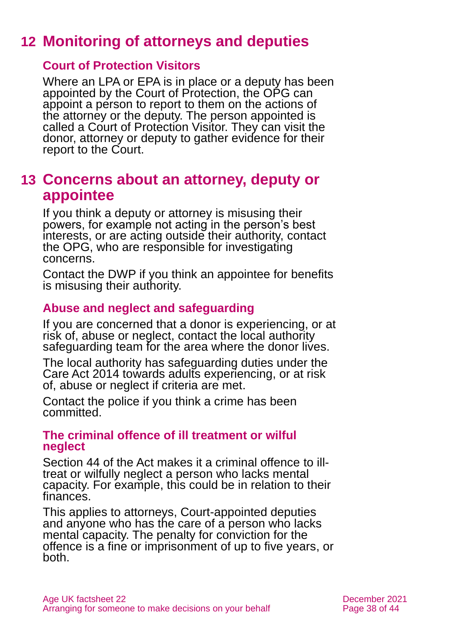# <span id="page-37-0"></span>**12 Monitoring of attorneys and deputies**

#### **Court of Protection Visitors**

Where an LPA or EPA is in place or a deputy has been appointed by the Court of Protection, the OPG can appoint a person to report to them on the actions of the attorney or the deputy. The person appointed is called a Court of Protection Visitor. They can visit the donor, attorney or deputy to gather evidence for their report to the Court.

### <span id="page-37-1"></span>**13 Concerns about an attorney, deputy or appointee**

If you think a deputy or attorney is misusing their powers, for example not acting in the person's best interests, or are acting outside their authority, contact the OPG, who are responsible for investigating concerns.

Contact the DWP if you think an appointee for benefits is misusing their authority.

#### **Abuse and neglect and safeguarding**

If you are concerned that a donor is experiencing, or at risk of, abuse or neglect, contact the local authority safeguarding team for the area where the donor lives.

The local authority has safeguarding duties under the Care Act 2014 towards adults experiencing, or at risk of, abuse or neglect if criteria are met.

Contact the police if you think a crime has been committed.

#### **The criminal offence of ill treatment or wilful neglect**

Section 44 of the Act makes it a criminal offence to illtreat or wilfully neglect a person who lacks mental capacity. For example, this could be in relation to their finances.

This applies to attorneys, Court-appointed deputies and anyone who has the care of a person who lacks mental capacity. The penalty for conviction for the offence is a fine or imprisonment of up to five years, or both.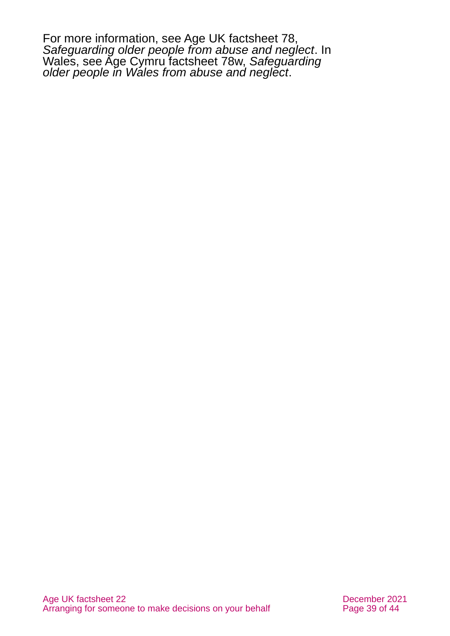For more information, see Age UK factsheet 78, *[Safeguarding older people from abuse and neglect](https://www.ageuk.org.uk/globalassets/age-uk/documents/factsheets/fs78_safeguarding_older_people_from_abuse_fcs.pdf)*. In Wales, see Age Cymru factsheet 78w, *[Safeguarding](https://www.ageuk.org.uk/globalassets/age-cymru/documents/information-guides-and-factsheets/fs78w.pdf)  [older people in Wales from abuse and neglect](https://www.ageuk.org.uk/globalassets/age-cymru/documents/information-guides-and-factsheets/fs78w.pdf)*.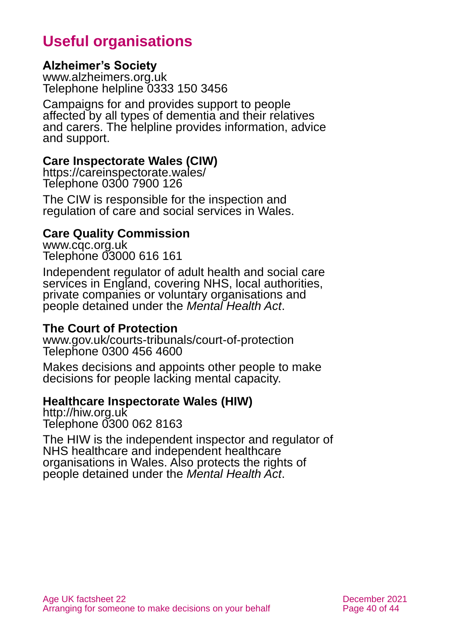# **Useful organisations**

#### <span id="page-39-0"></span>**Alzheimer's Society**

[www.alzheimers.org.uk](http://www.alzheimers.org.uk/) Telephone helpline 0333 150 3456

Campaigns for and provides support to people affected by all types of dementia and their relatives and carers. The helpline provides information, advice and support.

#### **Care Inspectorate Wales (CIW)**

<https://careinspectorate.wales/> Telephone 0300 7900 126

The CIW is responsible for the inspection and regulation of care and social services in Wales.

#### **Care Quality Commission**

[www.cqc.org.uk](http://www.cqc.org.uk/) Telephone 03000 616 161

Independent regulator of adult health and social care services in England, covering NHS, local authorities, private companies or voluntary organisations and people detained under the *Mental Health Act*.

#### **The Court of Protection**

[www.gov.uk/courts-tribunals/court-of-protection](http://www.gov.uk/courts-tribunals/court-of-protection) Telephone 0300 456 4600

Makes decisions and appoints other people to make decisions for people lacking mental capacity.

#### **Healthcare Inspectorate Wales (HIW)**

[http://hiw.org.uk](http://hiw.org.uk/) Telephone 0300 062 8163

The HIW is the independent inspector and regulator of NHS healthcare and independent healthcare organisations in Wales. Also protects the rights of people detained under the *Mental Health Act*.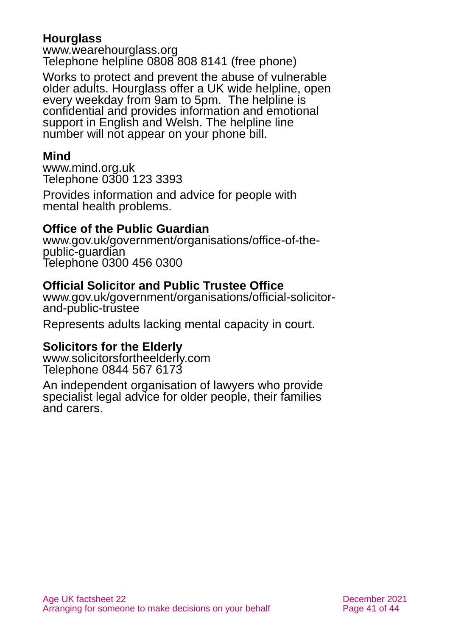#### **Hourglass**

[www.wearehourglass.org](http://www.wearehourglass.org/) Telephone helpline 0808 808 8141 (free phone)

Works to protect and prevent the abuse of vulnerable older adults. Hourglass offer a UK wide helpline, open every weekday from 9am to 5pm. The helpline is confidential and provides information and emotional support in English and Welsh. The helpline line number will not appear on your phone bill.

### **Mind**

[www.mind.org.uk](http://www.mind.org.uk/) Telephone 0300 123 3393

Provides information and advice for people with mental health problems.

#### **Office of the Public Guardian**

[www.gov.uk/government/organisations/office-of-the](http://www.gov.uk/government/organisations/office-of-the-public-guardian)[public-guardian](http://www.gov.uk/government/organisations/office-of-the-public-guardian) Telephone 0300 456 0300

#### **Official Solicitor and Public Trustee Office**

[www.gov.uk/government/organisations/official-solicitor](http://www.gov.uk/government/organisations/official-solicitor-and-public-trustee)[and-public-trustee](http://www.gov.uk/government/organisations/official-solicitor-and-public-trustee)

Represents adults lacking mental capacity in court.

#### **Solicitors for the Elderly**

[www.solicitorsfortheelderly.com](http://www.solicitorsfortheelderly.com/) Telephone 0844 567 6173

An independent organisation of lawyers who provide specialist legal advice for older people, their families and carers.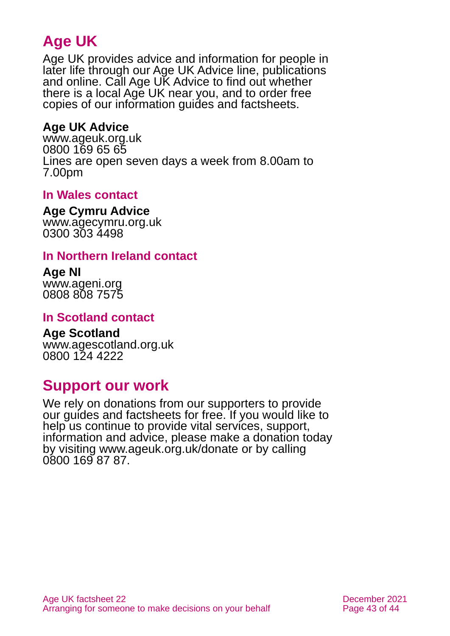# **Age UK**

Age UK provides advice and information for people in later life through our Age UK Advice line, publications and online. Call Age UK Advice to find out whether there is a local Age UK near you, and to order free copies of our information guides and factsheets.

#### <span id="page-42-1"></span>**Age UK Advice**

[www.ageuk.org.uk](http://www.ageuk.org.uk/) 0800 169 65 65 Lines are open seven days a week from 8.00am to 7.00pm

#### **In Wales contact**

**Age Cymru Advice**

[www.agecymru.org.uk](http://www.agecymru.org.uk/) 0300 303 4498

#### <span id="page-42-0"></span>**In Northern Ireland contact**

**Age NI** [www.ageni.org](http://www.ageni.org/) 0808 808 7575

#### **In Scotland contact**

<span id="page-42-2"></span>**Age Scotland** [www.agescotland.org.uk](http://www.agescotland.org.uk/) 0800 124 4222

# **Support our work**

We rely on donations from our supporters to provide our guides and factsheets for free. If you would like to help us continue to provide vital services, support, information and advice, please make a donation today by visiting [www.ageuk.org.uk/donate](http://www.ageuk.org.uk/donate) or by calling 0800 169 87 87.